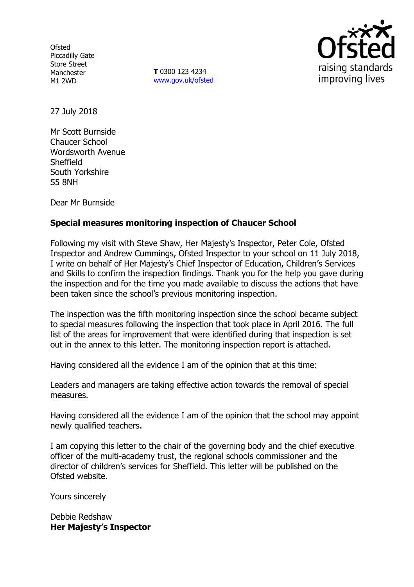**Ofsted** Piccadilly Gate Store Street Manchester M1 2WD

**T** 0300 123 4234 www.gov.uk/ofsted



27 July 2018

Mr Scott Burnside Chaucer School Wordsworth Avenue **Sheffield** South Yorkshire S5 8NH

Dear Mr Burnside

# **Special measures monitoring inspection of Chaucer School**

Following my visit with Steve Shaw, Her Majesty's Inspector, Peter Cole, Ofsted Inspector and Andrew Cummings, Ofsted Inspector to your school on 11 July 2018, I write on behalf of Her Majesty's Chief Inspector of Education, Children's Services and Skills to confirm the inspection findings. Thank you for the help you gave during the inspection and for the time you made available to discuss the actions that have been taken since the school's previous monitoring inspection.

The inspection was the fifth monitoring inspection since the school became subject to special measures following the inspection that took place in April 2016. The full list of the areas for improvement that were identified during that inspection is set out in the annex to this letter. The monitoring inspection report is attached.

Having considered all the evidence I am of the opinion that at this time:

Leaders and managers are taking effective action towards the removal of special measures.

Having considered all the evidence I am of the opinion that the school may appoint newly qualified teachers.

I am copying this letter to the chair of the governing body and the chief executive officer of the multi-academy trust, the regional schools commissioner and the director of children's services for Sheffield. This letter will be published on the Ofsted website.

Yours sincerely

Debbie Redshaw **Her Majesty's Inspector**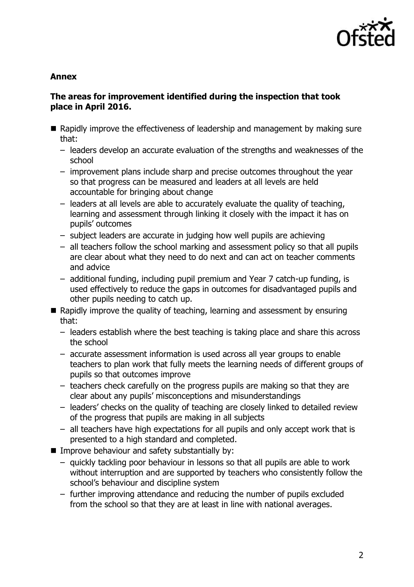

## **Annex**

## **The areas for improvement identified during the inspection that took place in April 2016.**

- Rapidly improve the effectiveness of leadership and management by making sure that:
	- leaders develop an accurate evaluation of the strengths and weaknesses of the school
	- improvement plans include sharp and precise outcomes throughout the year so that progress can be measured and leaders at all levels are held accountable for bringing about change
	- leaders at all levels are able to accurately evaluate the quality of teaching, learning and assessment through linking it closely with the impact it has on pupils' outcomes
	- subject leaders are accurate in judging how well pupils are achieving
	- all teachers follow the school marking and assessment policy so that all pupils are clear about what they need to do next and can act on teacher comments and advice
	- additional funding, including pupil premium and Year 7 catch-up funding, is used effectively to reduce the gaps in outcomes for disadvantaged pupils and other pupils needing to catch up.
- Rapidly improve the quality of teaching, learning and assessment by ensuring that:
	- leaders establish where the best teaching is taking place and share this across the school
	- accurate assessment information is used across all year groups to enable teachers to plan work that fully meets the learning needs of different groups of pupils so that outcomes improve
	- teachers check carefully on the progress pupils are making so that they are clear about any pupils' misconceptions and misunderstandings
	- leaders' checks on the quality of teaching are closely linked to detailed review of the progress that pupils are making in all subjects
	- all teachers have high expectations for all pupils and only accept work that is presented to a high standard and completed.
- **IMPROVE behaviour and safety substantially by:** 
	- quickly tackling poor behaviour in lessons so that all pupils are able to work without interruption and are supported by teachers who consistently follow the school's behaviour and discipline system
	- further improving attendance and reducing the number of pupils excluded from the school so that they are at least in line with national averages.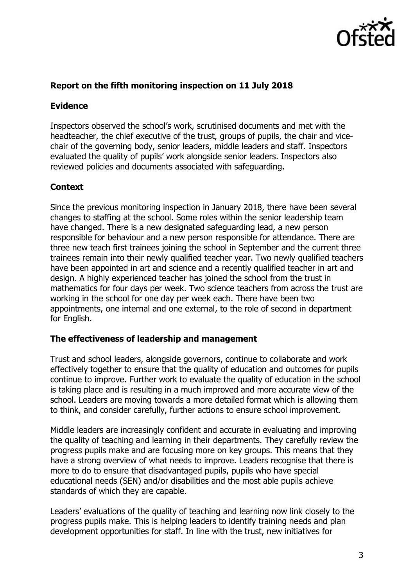

## **Report on the fifth monitoring inspection on 11 July 2018**

## **Evidence**

Inspectors observed the school's work, scrutinised documents and met with the headteacher, the chief executive of the trust, groups of pupils, the chair and vicechair of the governing body, senior leaders, middle leaders and staff. Inspectors evaluated the quality of pupils' work alongside senior leaders. Inspectors also reviewed policies and documents associated with safeguarding.

### **Context**

Since the previous monitoring inspection in January 2018, there have been several changes to staffing at the school. Some roles within the senior leadership team have changed. There is a new designated safeguarding lead, a new person responsible for behaviour and a new person responsible for attendance. There are three new teach first trainees joining the school in September and the current three trainees remain into their newly qualified teacher year. Two newly qualified teachers have been appointed in art and science and a recently qualified teacher in art and design. A highly experienced teacher has joined the school from the trust in mathematics for four days per week. Two science teachers from across the trust are working in the school for one day per week each. There have been two appointments, one internal and one external, to the role of second in department for English.

#### **The effectiveness of leadership and management**

Trust and school leaders, alongside governors, continue to collaborate and work effectively together to ensure that the quality of education and outcomes for pupils continue to improve. Further work to evaluate the quality of education in the school is taking place and is resulting in a much improved and more accurate view of the school. Leaders are moving towards a more detailed format which is allowing them to think, and consider carefully, further actions to ensure school improvement.

Middle leaders are increasingly confident and accurate in evaluating and improving the quality of teaching and learning in their departments. They carefully review the progress pupils make and are focusing more on key groups. This means that they have a strong overview of what needs to improve. Leaders recognise that there is more to do to ensure that disadvantaged pupils, pupils who have special educational needs (SEN) and/or disabilities and the most able pupils achieve standards of which they are capable.

Leaders' evaluations of the quality of teaching and learning now link closely to the progress pupils make. This is helping leaders to identify training needs and plan development opportunities for staff. In line with the trust, new initiatives for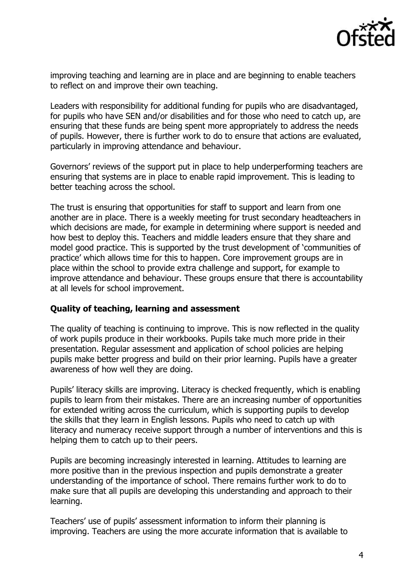

improving teaching and learning are in place and are beginning to enable teachers to reflect on and improve their own teaching.

Leaders with responsibility for additional funding for pupils who are disadvantaged, for pupils who have SEN and/or disabilities and for those who need to catch up, are ensuring that these funds are being spent more appropriately to address the needs of pupils. However, there is further work to do to ensure that actions are evaluated, particularly in improving attendance and behaviour.

Governors' reviews of the support put in place to help underperforming teachers are ensuring that systems are in place to enable rapid improvement. This is leading to better teaching across the school.

The trust is ensuring that opportunities for staff to support and learn from one another are in place. There is a weekly meeting for trust secondary headteachers in which decisions are made, for example in determining where support is needed and how best to deploy this. Teachers and middle leaders ensure that they share and model good practice. This is supported by the trust development of 'communities of practice' which allows time for this to happen. Core improvement groups are in place within the school to provide extra challenge and support, for example to improve attendance and behaviour. These groups ensure that there is accountability at all levels for school improvement.

## **Quality of teaching, learning and assessment**

The quality of teaching is continuing to improve. This is now reflected in the quality of work pupils produce in their workbooks. Pupils take much more pride in their presentation. Regular assessment and application of school policies are helping pupils make better progress and build on their prior learning. Pupils have a greater awareness of how well they are doing.

Pupils' literacy skills are improving. Literacy is checked frequently, which is enabling pupils to learn from their mistakes. There are an increasing number of opportunities for extended writing across the curriculum, which is supporting pupils to develop the skills that they learn in English lessons. Pupils who need to catch up with literacy and numeracy receive support through a number of interventions and this is helping them to catch up to their peers.

Pupils are becoming increasingly interested in learning. Attitudes to learning are more positive than in the previous inspection and pupils demonstrate a greater understanding of the importance of school. There remains further work to do to make sure that all pupils are developing this understanding and approach to their learning.

Teachers' use of pupils' assessment information to inform their planning is improving. Teachers are using the more accurate information that is available to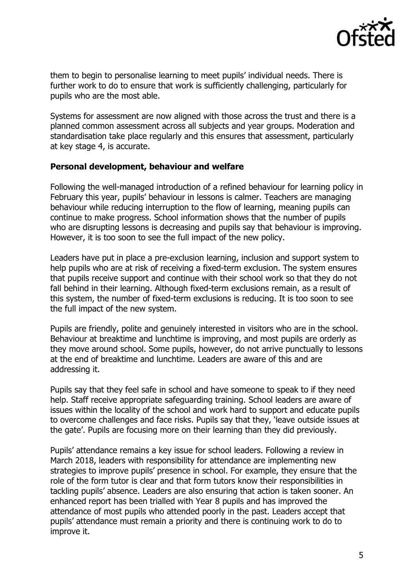

them to begin to personalise learning to meet pupils' individual needs. There is further work to do to ensure that work is sufficiently challenging, particularly for pupils who are the most able.

Systems for assessment are now aligned with those across the trust and there is a planned common assessment across all subjects and year groups. Moderation and standardisation take place regularly and this ensures that assessment, particularly at key stage 4, is accurate.

## **Personal development, behaviour and welfare**

Following the well-managed introduction of a refined behaviour for learning policy in February this year, pupils' behaviour in lessons is calmer. Teachers are managing behaviour while reducing interruption to the flow of learning, meaning pupils can continue to make progress. School information shows that the number of pupils who are disrupting lessons is decreasing and pupils say that behaviour is improving. However, it is too soon to see the full impact of the new policy.

Leaders have put in place a pre-exclusion learning, inclusion and support system to help pupils who are at risk of receiving a fixed-term exclusion. The system ensures that pupils receive support and continue with their school work so that they do not fall behind in their learning. Although fixed-term exclusions remain, as a result of this system, the number of fixed-term exclusions is reducing. It is too soon to see the full impact of the new system.

Pupils are friendly, polite and genuinely interested in visitors who are in the school. Behaviour at breaktime and lunchtime is improving, and most pupils are orderly as they move around school. Some pupils, however, do not arrive punctually to lessons at the end of breaktime and lunchtime. Leaders are aware of this and are addressing it.

Pupils say that they feel safe in school and have someone to speak to if they need help. Staff receive appropriate safeguarding training. School leaders are aware of issues within the locality of the school and work hard to support and educate pupils to overcome challenges and face risks. Pupils say that they, 'leave outside issues at the gate'. Pupils are focusing more on their learning than they did previously.

Pupils' attendance remains a key issue for school leaders. Following a review in March 2018, leaders with responsibility for attendance are implementing new strategies to improve pupils' presence in school. For example, they ensure that the role of the form tutor is clear and that form tutors know their responsibilities in tackling pupils' absence. Leaders are also ensuring that action is taken sooner. An enhanced report has been trialled with Year 8 pupils and has improved the attendance of most pupils who attended poorly in the past. Leaders accept that pupils' attendance must remain a priority and there is continuing work to do to improve it.